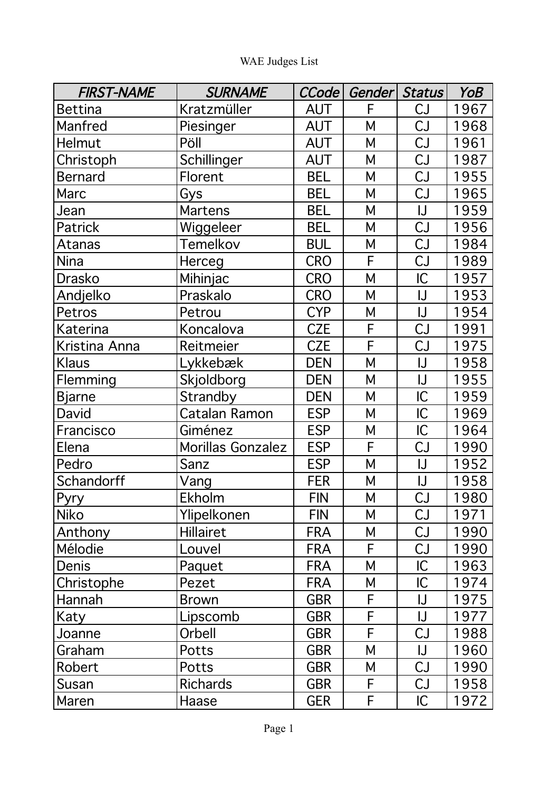| <b>FIRST-NAME</b> | <b>SURNAME</b>    | CCode      | Gender | Status                                     | YoB  |
|-------------------|-------------------|------------|--------|--------------------------------------------|------|
| <b>Bettina</b>    | Kratzmüller       | <b>AUT</b> | F      | CJ                                         | 1967 |
| Manfred           | Piesinger         | <b>AUT</b> | Μ      | CJ                                         | 1968 |
| Helmut            | Pöll              | <b>AUT</b> | Μ      | CJ                                         | 1961 |
| Christoph         | Schillinger       | <b>AUT</b> | Μ      | CJ                                         | 1987 |
| <b>Bernard</b>    | Florent           | <b>BEL</b> | Μ      | CJ                                         | 1955 |
| Marc              | Gys               | <b>BEL</b> | M      | CJ                                         | 1965 |
| Jean              | <b>Martens</b>    | <b>BEL</b> | Μ      | $\mathsf{U}% _{0}\left( \mathsf{U}\right)$ | 1959 |
| Patrick           | Wiggeleer         | <b>BEL</b> | Μ      | CJ                                         | 1956 |
| Atanas            | Temelkov          | <b>BUL</b> | Μ      | CJ                                         | 1984 |
| Nina              | Herceg            | <b>CRO</b> | F      | CJ                                         | 1989 |
| <b>Drasko</b>     | Mihinjac          | <b>CRO</b> | M      | IC                                         | 1957 |
| Andjelko          | Praskalo          | <b>CRO</b> | M      | IJ                                         | 1953 |
| Petros            | Petrou            | <b>CYP</b> | Μ      | IJ                                         | 1954 |
| <b>Katerina</b>   | Koncalova         | <b>CZE</b> | F      | CJ                                         | 1991 |
| Kristina Anna     | Reitmeier         | <b>CZE</b> | F      | CJ                                         | 1975 |
| Klaus             | Lykkebæk          | <b>DEN</b> | M      | $\sf U$                                    | 1958 |
| Flemming          | Skjoldborg        | <b>DEN</b> | Μ      | $\sf U$                                    | 1955 |
| <b>Bjarne</b>     | Strandby          | <b>DEN</b> | M      | IC                                         | 1959 |
| David             | Catalan Ramon     | <b>ESP</b> | Μ      | IC                                         | 1969 |
| Francisco         | Giménez           | <b>ESP</b> | М      | IC                                         | 1964 |
| Elena             | Morillas Gonzalez | <b>ESP</b> | F      | CJ                                         | 1990 |
| Pedro             | Sanz              | <b>ESP</b> | M      | $\sf U$                                    | 1952 |
| Schandorff        | Vang              | <b>FER</b> | Μ      | IJ                                         | 1958 |
| Pyry              | Ekholm            | <b>FIN</b> | M      | CJ                                         | 1980 |
| <b>Niko</b>       | Ylipelkonen       | <b>FIN</b> | M      | CJ                                         | 1971 |
| Anthony           | Hillairet         | <b>FRA</b> | М      | CJ                                         | 1990 |
| Mélodie           | Louvel            | <b>FRA</b> | F      | CJ                                         | 1990 |
| <b>Denis</b>      | Paquet            | <b>FRA</b> | М      | IC                                         | 1963 |
| Christophe        | Pezet             | <b>FRA</b> | М      | IC                                         | 1974 |
| Hannah            | <b>Brown</b>      | <b>GBR</b> | F      | IJ                                         | 1975 |
| Katy              | Lipscomb          | <b>GBR</b> | F      | IJ                                         | 1977 |
| Joanne            | Orbell            | <b>GBR</b> | F      | CJ                                         | 1988 |
| Graham            | Potts             | <b>GBR</b> | Μ      | IJ                                         | 1960 |
| Robert            | Potts             | <b>GBR</b> | М      | CJ                                         | 1990 |
| Susan             | <b>Richards</b>   | <b>GBR</b> | F      | CJ                                         | 1958 |
| Maren             | Haase             | <b>GER</b> | F      | IC                                         | 1972 |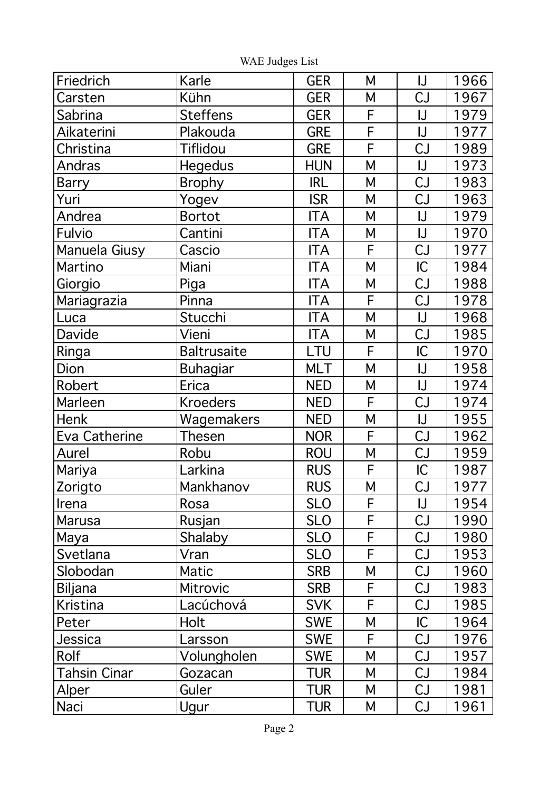| Friedrich           | Karle              | <b>GER</b> | M                                                                                                                                             | IJ                                         | 1966 |
|---------------------|--------------------|------------|-----------------------------------------------------------------------------------------------------------------------------------------------|--------------------------------------------|------|
| Carsten             | Kühn               | <b>GER</b> | M                                                                                                                                             | CJ                                         | 1967 |
| <b>Sabrina</b>      | <b>Steffens</b>    | <b>GER</b> | F                                                                                                                                             | $\mathsf{U}% _{0}\left( \mathsf{U}\right)$ | 1979 |
| Aikaterini          | Plakouda           | <b>GRE</b> | F                                                                                                                                             | $\sf U$                                    | 1977 |
| Christina           | <b>Tiflidou</b>    | <b>GRE</b> | $\overline{F}$                                                                                                                                | CJ                                         | 1989 |
| Andras              | <b>Hegedus</b>     | <b>HUN</b> | M                                                                                                                                             | $\sf U$                                    | 1973 |
| <b>Barry</b>        | <b>Brophy</b>      | <b>IRL</b> | M                                                                                                                                             | CJ                                         | 1983 |
| Yuri                | Yogev              | <b>ISR</b> | M                                                                                                                                             | CJ                                         | 1963 |
| Andrea              | <b>Bortot</b>      | <b>ITA</b> | M                                                                                                                                             | $\sf U$                                    | 1979 |
| Fulvio              | Cantini            | <b>ITA</b> | M                                                                                                                                             | $\sf U$                                    | 1970 |
| Manuela Giusy       | Cascio             | <b>ITA</b> | F                                                                                                                                             | CJ                                         | 1977 |
| Martino             | Miani              | <b>ITA</b> | M                                                                                                                                             | IC                                         | 1984 |
| Giorgio             | Piga               | <b>ITA</b> | $\mathsf{M}% _{0}^{\ast }=\mathsf{M}_{0}^{\ast }=\mathsf{M}_{0}^{\ast }$                                                                      | CJ                                         | 1988 |
| Mariagrazia         | Pinna              | <b>ITA</b> | F                                                                                                                                             | CJ                                         | 1978 |
| Luca                | Stucchi            | <b>ITA</b> | $\mathsf{M}% _{0}^{\ast }=\mathsf{M}_{0}^{\ast }=\mathsf{M}_{0}^{\ast }$                                                                      | $\sf U$                                    | 1968 |
| Davide              | Vieni              | <b>ITA</b> | M                                                                                                                                             | CJ                                         | 1985 |
| Ringa               | <b>Baltrusaite</b> | LTU        | F                                                                                                                                             | IC                                         | 1970 |
| Dion                | Buhagiar           | <b>MLT</b> | M                                                                                                                                             | $\bigcup$                                  | 1958 |
| Robert              | Erica              | <b>NED</b> | $\mathsf{M}% _{0}^{\ast }=\mathsf{M}_{0}^{\ast }=\mathsf{M}_{0}^{\ast }$                                                                      | $\sf U$                                    | 1974 |
| Marleen             | <b>Kroeders</b>    | <b>NED</b> | F                                                                                                                                             | CJ                                         | 1974 |
| Henk                | Wagemakers         | <b>NED</b> | $\mathsf{M}% _{0}\!\left( \mathcal{M}_{0}\right) ^{T\!\left( 1\right) }=\mathsf{M}_{0}\!\left( \mathcal{M}_{0}\right) ^{T\!\left( 1\right) }$ | $\sf U$                                    | 1955 |
| Eva Catherine       | Thesen             | <b>NOR</b> | F                                                                                                                                             | CJ                                         | 1962 |
| Aurel               | Robu               | <b>ROU</b> | ${\sf M}$                                                                                                                                     | CJ                                         | 1959 |
| Mariya              | _arkina            | <b>RUS</b> | F                                                                                                                                             | IC                                         | 1987 |
| Zorigto             | Mankhanov          | <b>RUS</b> | $\mathsf{M}% _{1}\left( \mathsf{M}_{1}\right) ^{T}$                                                                                           | CJ                                         | 1977 |
| Irena               | Rosa               | <b>SLO</b> | F                                                                                                                                             | $\mathsf{U}% _{0}\left( \mathsf{U}\right)$ | 1954 |
| Marusa              | Rusjan             | <b>SLO</b> | F                                                                                                                                             | CJ                                         | 1990 |
| Maya                | Shalaby            | <b>SLO</b> | F                                                                                                                                             | CJ                                         | 1980 |
| Svetlana            | Vran               | <b>SLO</b> | F                                                                                                                                             | CJ                                         | 1953 |
| Slobodan            | <b>Matic</b>       | <b>SRB</b> | $\mathsf{M}% _{0}^{\ast }=\mathsf{M}_{0}^{\ast }=\mathsf{M}_{0}^{\ast }$                                                                      | CJ                                         | 1960 |
| <b>Biljana</b>      | <b>Mitrovic</b>    | <b>SRB</b> | F                                                                                                                                             | CJ                                         | 1983 |
| <b>Kristina</b>     | Lacúchová          | <b>SVK</b> | F                                                                                                                                             | CJ                                         | 1985 |
| Peter               | <b>Holt</b>        | <b>SWE</b> | M                                                                                                                                             | IC                                         | 1964 |
| Jessica             | Larsson            | <b>SWE</b> | F                                                                                                                                             | CJ                                         | 1976 |
| Rolf                | Volungholen        | <b>SWE</b> | M                                                                                                                                             | CJ                                         | 1957 |
| <b>Tahsin Cinar</b> | Gozacan            | <b>TUR</b> | M                                                                                                                                             | CJ                                         | 1984 |
| Alper               | Guler              | <b>TUR</b> | M                                                                                                                                             | CJ                                         | 1981 |
| Naci                | Ugur               | <b>TUR</b> | M                                                                                                                                             | CJ                                         | 1961 |

WAE Judges List